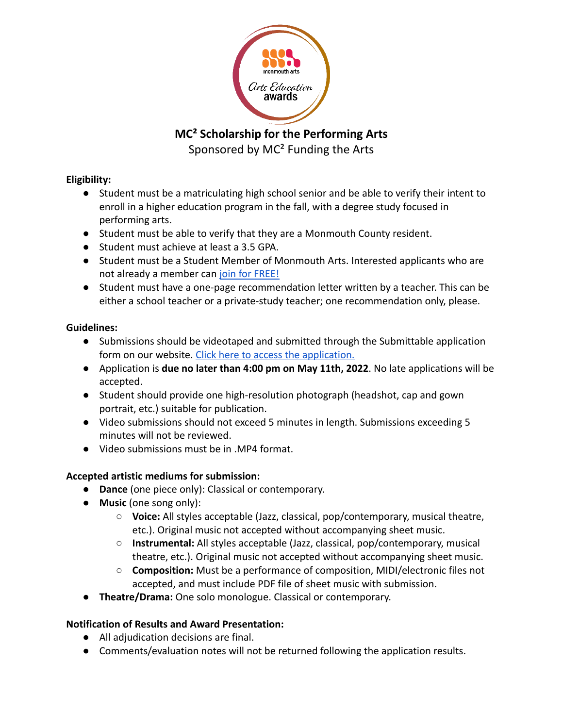

**MC² Scholarship for the Performing Arts**

Sponsored by MC² Funding the Arts

### **Eligibility:**

- Student must be a matriculating high school senior and be able to verify their intent to enroll in a higher education program in the fall, with a degree study focused in performing arts.
- Student must be able to verify that they are a Monmouth County resident.
- Student must achieve at least a 3.5 GPA.
- Student must be a Student Member of Monmouth Arts. Interested applicants who are not already a member can [join for FREE!](https://www.monmoutharts.org/join-us)
- Student must have a one-page recommendation letter written by a teacher. This can be either a school teacher or a private-study teacher; one recommendation only, please.

# **Guidelines:**

- Submissions should be videotaped and submitted through the Submittable application form on our website. [Click here to access the application.](https://www.monmoutharts.org/performingartsscholarship)
- Application is **due no later than 4:00 pm on May 11th, 2022**. No late applications will be accepted.
- Student should provide one high-resolution photograph (headshot, cap and gown portrait, etc.) suitable for publication.
- Video submissions should not exceed 5 minutes in length. Submissions exceeding 5 minutes will not be reviewed.
- Video submissions must be in .MP4 format.

# **Accepted artistic mediums for submission:**

- **Dance** (one piece only): Classical or contemporary.
- **Music** (one song only):
	- **Voice:** All styles acceptable (Jazz, classical, pop/contemporary, musical theatre, etc.). Original music not accepted without accompanying sheet music.
	- **Instrumental:** All styles acceptable (Jazz, classical, pop/contemporary, musical theatre, etc.). Original music not accepted without accompanying sheet music.
	- **Composition:** Must be a performance of composition, MIDI/electronic files not accepted, and must include PDF file of sheet music with submission.
- **Theatre/Drama:** One solo monologue. Classical or contemporary.

# **Notification of Results and Award Presentation:**

- All adjudication decisions are final.
- Comments/evaluation notes will not be returned following the application results.